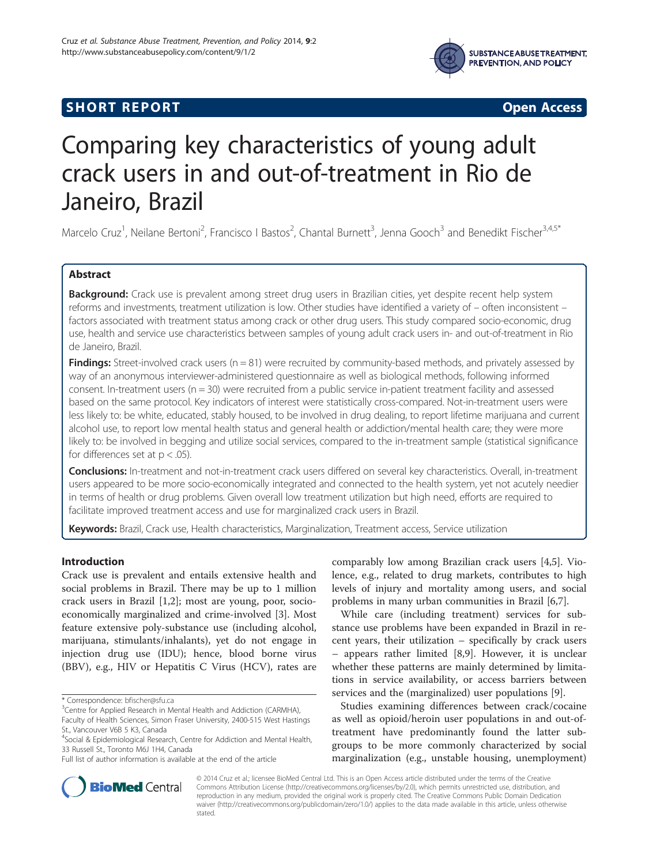



# Comparing key characteristics of young adult crack users in and out-of-treatment in Rio de Janeiro, Brazil

Marcelo Cruz<sup>1</sup>, Neilane Bertoni<sup>2</sup>, Francisco I Bastos<sup>2</sup>, Chantal Burnett<sup>3</sup>, Jenna Gooch<sup>3</sup> and Benedikt Fischer<sup>3,4,5\*</sup>

# Abstract

Background: Crack use is prevalent among street drug users in Brazilian cities, yet despite recent help system reforms and investments, treatment utilization is low. Other studies have identified a variety of – often inconsistent – factors associated with treatment status among crack or other drug users. This study compared socio-economic, drug use, health and service use characteristics between samples of young adult crack users in- and out-of-treatment in Rio de Janeiro, Brazil.

**Findings:** Street-involved crack users ( $n = 81$ ) were recruited by community-based methods, and privately assessed by way of an anonymous interviewer-administered questionnaire as well as biological methods, following informed consent. In-treatment users ( $n = 30$ ) were recruited from a public service in-patient treatment facility and assessed based on the same protocol. Key indicators of interest were statistically cross-compared. Not-in-treatment users were less likely to: be white, educated, stably housed, to be involved in drug dealing, to report lifetime marijuana and current alcohol use, to report low mental health status and general health or addiction/mental health care; they were more likely to: be involved in begging and utilize social services, compared to the in-treatment sample (statistical significance for differences set at  $p < .05$ ).

Conclusions: In-treatment and not-in-treatment crack users differed on several key characteristics. Overall, in-treatment users appeared to be more socio-economically integrated and connected to the health system, yet not acutely needier in terms of health or drug problems. Given overall low treatment utilization but high need, efforts are required to facilitate improved treatment access and use for marginalized crack users in Brazil.

Keywords: Brazil, Crack use, Health characteristics, Marginalization, Treatment access, Service utilization

# Introduction

Crack use is prevalent and entails extensive health and social problems in Brazil. There may be up to 1 million crack users in Brazil [\[1,2](#page-5-0)]; most are young, poor, socioeconomically marginalized and crime-involved [[3\]](#page-5-0). Most feature extensive poly-substance use (including alcohol, marijuana, stimulants/inhalants), yet do not engage in injection drug use (IDU); hence, blood borne virus (BBV), e.g., HIV or Hepatitis C Virus (HCV), rates are

comparably low among Brazilian crack users [\[4,5](#page-5-0)]. Violence, e.g., related to drug markets, contributes to high levels of injury and mortality among users, and social problems in many urban communities in Brazil [\[6,7](#page-5-0)].

While care (including treatment) services for substance use problems have been expanded in Brazil in recent years, their utilization – specifically by crack users – appears rather limited [[8,9\]](#page-5-0). However, it is unclear whether these patterns are mainly determined by limitations in service availability, or access barriers between services and the (marginalized) user populations [[9\]](#page-5-0).

Studies examining differences between crack/cocaine as well as opioid/heroin user populations in and out-oftreatment have predominantly found the latter subgroups to be more commonly characterized by social marginalization (e.g., unstable housing, unemployment)



© 2014 Cruz et al.; licensee BioMed Central Ltd. This is an Open Access article distributed under the terms of the Creative Commons Attribution License [\(http://creativecommons.org/licenses/by/2.0\)](http://creativecommons.org/licenses/by/2.0), which permits unrestricted use, distribution, and reproduction in any medium, provided the original work is properly cited. The Creative Commons Public Domain Dedication waiver [\(http://creativecommons.org/publicdomain/zero/1.0/\)](http://creativecommons.org/publicdomain/zero/1.0/) applies to the data made available in this article, unless otherwise stated.

<sup>\*</sup> Correspondence: [bfischer@sfu.ca](mailto:bfischer@sfu.ca) <sup>3</sup>

<sup>&</sup>lt;sup>3</sup> Centre for Applied Research in Mental Health and Addiction (CARMHA), Faculty of Health Sciences, Simon Fraser University, 2400-515 West Hastings

St., Vancouver V6B 5 K3, Canada

<sup>&</sup>lt;sup>4</sup>Social & Epidemiological Research, Centre for Addiction and Mental Health, 33 Russell St., Toronto M6J 1H4, Canada

Full list of author information is available at the end of the article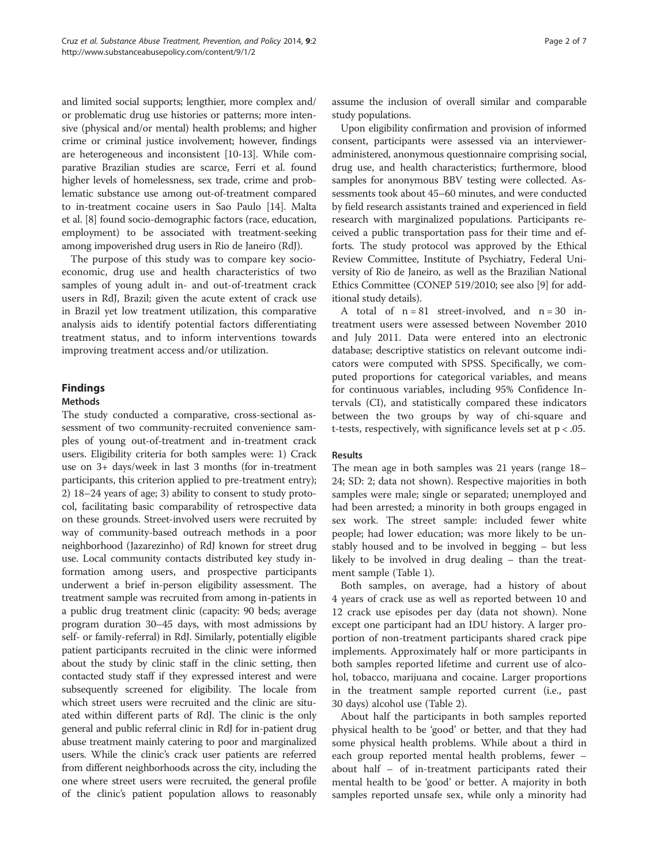and limited social supports; lengthier, more complex and/ or problematic drug use histories or patterns; more intensive (physical and/or mental) health problems; and higher crime or criminal justice involvement; however, findings are heterogeneous and inconsistent [\[10-13\]](#page-5-0). While comparative Brazilian studies are scarce, Ferri et al. found higher levels of homelessness, sex trade, crime and problematic substance use among out-of-treatment compared to in-treatment cocaine users in Sao Paulo [[14](#page-5-0)]. Malta et al. [\[8\]](#page-5-0) found socio-demographic factors (race, education, employment) to be associated with treatment-seeking among impoverished drug users in Rio de Janeiro (RdJ).

The purpose of this study was to compare key socioeconomic, drug use and health characteristics of two samples of young adult in- and out-of-treatment crack users in RdJ, Brazil; given the acute extent of crack use in Brazil yet low treatment utilization, this comparative analysis aids to identify potential factors differentiating treatment status, and to inform interventions towards improving treatment access and/or utilization.

# Findings

## Methods

The study conducted a comparative, cross-sectional assessment of two community-recruited convenience samples of young out-of-treatment and in-treatment crack users. Eligibility criteria for both samples were: 1) Crack use on 3+ days/week in last 3 months (for in-treatment participants, this criterion applied to pre-treatment entry); 2) 18–24 years of age; 3) ability to consent to study protocol, facilitating basic comparability of retrospective data on these grounds. Street-involved users were recruited by way of community-based outreach methods in a poor neighborhood (Jazarezinho) of RdJ known for street drug use. Local community contacts distributed key study information among users, and prospective participants underwent a brief in-person eligibility assessment. The treatment sample was recruited from among in-patients in a public drug treatment clinic (capacity: 90 beds; average program duration 30–45 days, with most admissions by self- or family-referral) in RdJ. Similarly, potentially eligible patient participants recruited in the clinic were informed about the study by clinic staff in the clinic setting, then contacted study staff if they expressed interest and were subsequently screened for eligibility. The locale from which street users were recruited and the clinic are situated within different parts of RdJ. The clinic is the only general and public referral clinic in RdJ for in-patient drug abuse treatment mainly catering to poor and marginalized users. While the clinic's crack user patients are referred from different neighborhoods across the city, including the one where street users were recruited, the general profile of the clinic's patient population allows to reasonably

Upon eligibility confirmation and provision of informed consent, participants were assessed via an intervieweradministered, anonymous questionnaire comprising social, drug use, and health characteristics; furthermore, blood samples for anonymous BBV testing were collected. Assessments took about 45–60 minutes, and were conducted by field research assistants trained and experienced in field research with marginalized populations. Participants received a public transportation pass for their time and efforts. The study protocol was approved by the Ethical Review Committee, Institute of Psychiatry, Federal University of Rio de Janeiro, as well as the Brazilian National Ethics Committee (CONEP 519/2010; see also [[9\]](#page-5-0) for additional study details).

A total of  $n = 81$  street-involved, and  $n = 30$  intreatment users were assessed between November 2010 and July 2011. Data were entered into an electronic database; descriptive statistics on relevant outcome indicators were computed with SPSS. Specifically, we computed proportions for categorical variables, and means for continuous variables, including 95% Confidence Intervals (CI), and statistically compared these indicators between the two groups by way of chi-square and t-tests, respectively, with significance levels set at  $p < .05$ .

## Results

The mean age in both samples was 21 years (range 18– 24; SD: 2; data not shown). Respective majorities in both samples were male; single or separated; unemployed and had been arrested; a minority in both groups engaged in sex work. The street sample: included fewer white people; had lower education; was more likely to be unstably housed and to be involved in begging – but less likely to be involved in drug dealing – than the treatment sample (Table [1\)](#page-2-0).

Both samples, on average, had a history of about 4 years of crack use as well as reported between 10 and 12 crack use episodes per day (data not shown). None except one participant had an IDU history. A larger proportion of non-treatment participants shared crack pipe implements. Approximately half or more participants in both samples reported lifetime and current use of alcohol, tobacco, marijuana and cocaine. Larger proportions in the treatment sample reported current (i.e., past 30 days) alcohol use (Table [2](#page-3-0)).

About half the participants in both samples reported physical health to be 'good' or better, and that they had some physical health problems. While about a third in each group reported mental health problems, fewer – about half – of in-treatment participants rated their mental health to be 'good' or better. A majority in both samples reported unsafe sex, while only a minority had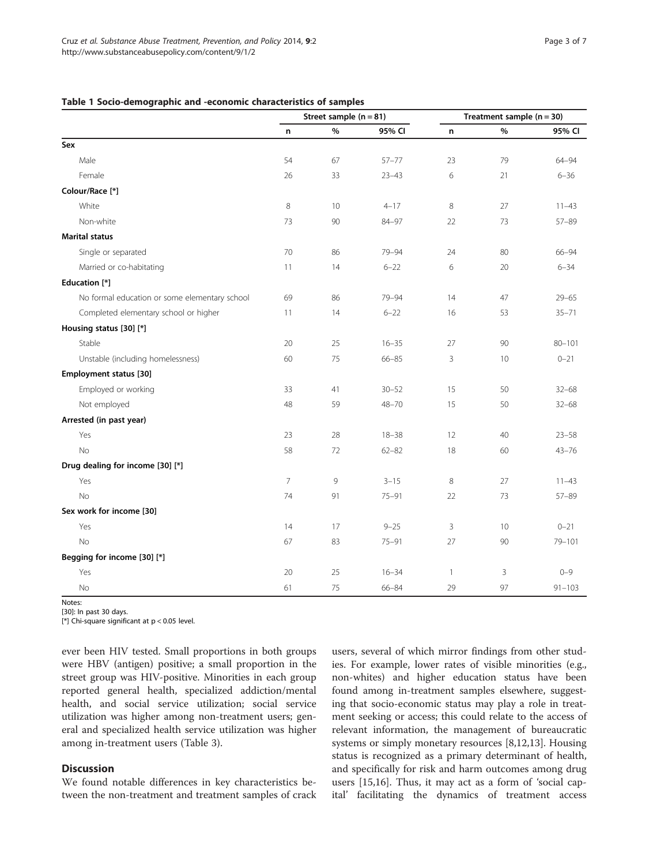### <span id="page-2-0"></span>Table 1 Socio-demographic and -economic characteristics of samples

|                                               | Street sample $(n = 81)$ |      |           | Treatment sample $(n = 30)$ |      |            |  |
|-----------------------------------------------|--------------------------|------|-----------|-----------------------------|------|------------|--|
|                                               | n                        | $\%$ | 95% CI    | n                           | $\%$ | 95% CI     |  |
| Sex                                           |                          |      |           |                             |      |            |  |
| Male                                          | 54                       | 67   | $57 - 77$ | 23                          | 79   | 64-94      |  |
| Female                                        | 26                       | 33   | $23 - 43$ | 6                           | 21   | $6 - 36$   |  |
| Colour/Race [*]                               |                          |      |           |                             |      |            |  |
| White                                         | $\,8\,$                  | 10   | $4 - 17$  | 8                           | 27   | $11 - 43$  |  |
| Non-white                                     | 73                       | 90   | $84 - 97$ | 22                          | 73   | $57 - 89$  |  |
| <b>Marital status</b>                         |                          |      |           |                             |      |            |  |
| Single or separated                           | 70                       | 86   | 79-94     | 24                          | 80   | $66 - 94$  |  |
| Married or co-habitating                      | 11                       | 14   | $6 - 22$  | 6                           | 20   | $6 - 34$   |  |
| Education [*]                                 |                          |      |           |                             |      |            |  |
| No formal education or some elementary school | 69                       | 86   | 79-94     | 14                          | 47   | $29 - 65$  |  |
| Completed elementary school or higher         | 11                       | 14   | $6 - 22$  | 16                          | 53   | $35 - 71$  |  |
| Housing status [30] [*]                       |                          |      |           |                             |      |            |  |
| Stable                                        | 20                       | 25   | $16 - 35$ | 27                          | 90   | $80 - 101$ |  |
| Unstable (including homelessness)             | 60                       | 75   | $66 - 85$ | 3                           | 10   | $0 - 21$   |  |
| Employment status [30]                        |                          |      |           |                             |      |            |  |
| Employed or working                           | 33                       | 41   | $30 - 52$ | 15                          | 50   | $32 - 68$  |  |
| Not employed                                  | 48                       | 59   | $48 - 70$ | 15                          | 50   | $32 - 68$  |  |
| Arrested (in past year)                       |                          |      |           |                             |      |            |  |
| Yes                                           | 23                       | 28   | $18 - 38$ | 12                          | 40   | $23 - 58$  |  |
| <b>No</b>                                     | 58                       | 72   | $62 - 82$ | 18                          | 60   | $43 - 76$  |  |
| Drug dealing for income [30] [*]              |                          |      |           |                             |      |            |  |
| Yes                                           | $\overline{7}$           | 9    | $3 - 15$  | 8                           | 27   | $11 - 43$  |  |
| <b>No</b>                                     | 74                       | 91   | $75 - 91$ | 22                          | 73   | $57 - 89$  |  |
| Sex work for income [30]                      |                          |      |           |                             |      |            |  |
| Yes                                           | 14                       | 17   | $9 - 25$  | 3                           | 10   | $0 - 21$   |  |
| <b>No</b>                                     | 67                       | 83   | $75 - 91$ | 27                          | 90   | 79-101     |  |
| Begging for income [30] [*]                   |                          |      |           |                             |      |            |  |
| Yes                                           | 20                       | 25   | $16 - 34$ | 1                           | 3    | $0 - 9$    |  |
| No                                            | 61                       | 75   | 66-84     | 29                          | 97   | $91 - 103$ |  |

Notes:

[30]: In past 30 days.

[\*] Chi-square significant at p < 0.05 level.

ever been HIV tested. Small proportions in both groups were HBV (antigen) positive; a small proportion in the street group was HIV-positive. Minorities in each group reported general health, specialized addiction/mental health, and social service utilization; social service utilization was higher among non-treatment users; general and specialized health service utilization was higher among in-treatment users (Table [3](#page-4-0)).

## **Discussion**

We found notable differences in key characteristics between the non-treatment and treatment samples of crack

users, several of which mirror findings from other studies. For example, lower rates of visible minorities (e.g., non-whites) and higher education status have been found among in-treatment samples elsewhere, suggesting that socio-economic status may play a role in treatment seeking or access; this could relate to the access of relevant information, the management of bureaucratic systems or simply monetary resources [[8,12,13\]](#page-5-0). Housing status is recognized as a primary determinant of health, and specifically for risk and harm outcomes among drug users [[15](#page-5-0),[16](#page-5-0)]. Thus, it may act as a form of 'social capital' facilitating the dynamics of treatment access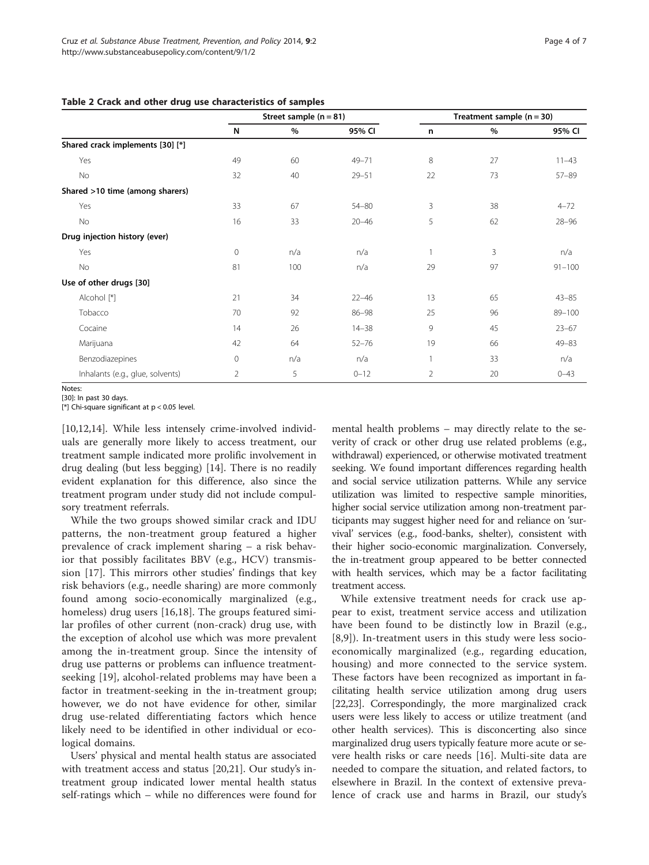#### <span id="page-3-0"></span>Table 2 Crack and other drug use characteristics of samples

|                                  |                | Street sample $(n = 81)$ |           |                | Treatment sample $(n = 30)$ |            |
|----------------------------------|----------------|--------------------------|-----------|----------------|-----------------------------|------------|
|                                  | N              | $\%$                     | 95% CI    | n              | $\%$                        | 95% CI     |
| Shared crack implements [30] [*] |                |                          |           |                |                             |            |
| Yes                              | 49             | 60                       | 49-71     | 8              | 27                          | $11 - 43$  |
| <b>No</b>                        | 32             | 40                       | $29 - 51$ | 22             | 73                          | $57 - 89$  |
| Shared >10 time (among sharers)  |                |                          |           |                |                             |            |
| Yes                              | 33             | 67                       | $54 - 80$ | 3              | 38                          | $4 - 72$   |
| No                               | 16             | 33                       | $20 - 46$ | 5              | 62                          | $28 - 96$  |
| Drug injection history (ever)    |                |                          |           |                |                             |            |
| Yes                              | 0              | n/a                      | n/a       |                | 3                           | n/a        |
| <b>No</b>                        | 81             | 100                      | n/a       | 29             | 97                          | $91 - 100$ |
| Use of other drugs [30]          |                |                          |           |                |                             |            |
| Alcohol [*]                      | 21             | 34                       | $22 - 46$ | 13             | 65                          | $43 - 85$  |
| Tobacco                          | 70             | 92                       | $86 - 98$ | 25             | 96                          | $89 - 100$ |
| Cocaine                          | 14             | 26                       | $14 - 38$ | 9              | 45                          | $23 - 67$  |
| Marijuana                        | 42             | 64                       | $52 - 76$ | 19             | 66                          | $49 - 83$  |
| Benzodiazepines                  | 0              | n/a                      | n/a       |                | 33                          | n/a        |
| Inhalants (e.g., glue, solvents) | $\overline{2}$ | 5                        | $0 - 12$  | $\overline{2}$ | 20                          | $0 - 43$   |

Notes:

[30]: In past 30 days.

[\*] Chi-square significant at p < 0.05 level.

[[10,12,14\]](#page-5-0). While less intensely crime-involved individuals are generally more likely to access treatment, our treatment sample indicated more prolific involvement in drug dealing (but less begging) [\[14](#page-5-0)]. There is no readily evident explanation for this difference, also since the treatment program under study did not include compulsory treatment referrals.

While the two groups showed similar crack and IDU patterns, the non-treatment group featured a higher prevalence of crack implement sharing – a risk behavior that possibly facilitates BBV (e.g., HCV) transmission [\[17](#page-5-0)]. This mirrors other studies' findings that key risk behaviors (e.g., needle sharing) are more commonly found among socio-economically marginalized (e.g., homeless) drug users [[16,18](#page-5-0)]. The groups featured similar profiles of other current (non-crack) drug use, with the exception of alcohol use which was more prevalent among the in-treatment group. Since the intensity of drug use patterns or problems can influence treatmentseeking [[19](#page-5-0)], alcohol-related problems may have been a factor in treatment-seeking in the in-treatment group; however, we do not have evidence for other, similar drug use-related differentiating factors which hence likely need to be identified in other individual or ecological domains.

Users' physical and mental health status are associated with treatment access and status [\[20,21](#page-5-0)]. Our study's intreatment group indicated lower mental health status self-ratings which – while no differences were found for

mental health problems – may directly relate to the severity of crack or other drug use related problems (e.g., withdrawal) experienced, or otherwise motivated treatment seeking. We found important differences regarding health and social service utilization patterns. While any service utilization was limited to respective sample minorities, higher social service utilization among non-treatment participants may suggest higher need for and reliance on 'survival' services (e.g., food-banks, shelter), consistent with their higher socio-economic marginalization. Conversely, the in-treatment group appeared to be better connected with health services, which may be a factor facilitating treatment access.

While extensive treatment needs for crack use appear to exist, treatment service access and utilization have been found to be distinctly low in Brazil (e.g., [[8,9](#page-5-0)]). In-treatment users in this study were less socioeconomically marginalized (e.g., regarding education, housing) and more connected to the service system. These factors have been recognized as important in facilitating health service utilization among drug users [[22](#page-5-0),[23](#page-6-0)]. Correspondingly, the more marginalized crack users were less likely to access or utilize treatment (and other health services). This is disconcerting also since marginalized drug users typically feature more acute or severe health risks or care needs [\[16](#page-5-0)]. Multi-site data are needed to compare the situation, and related factors, to elsewhere in Brazil. In the context of extensive prevalence of crack use and harms in Brazil, our study's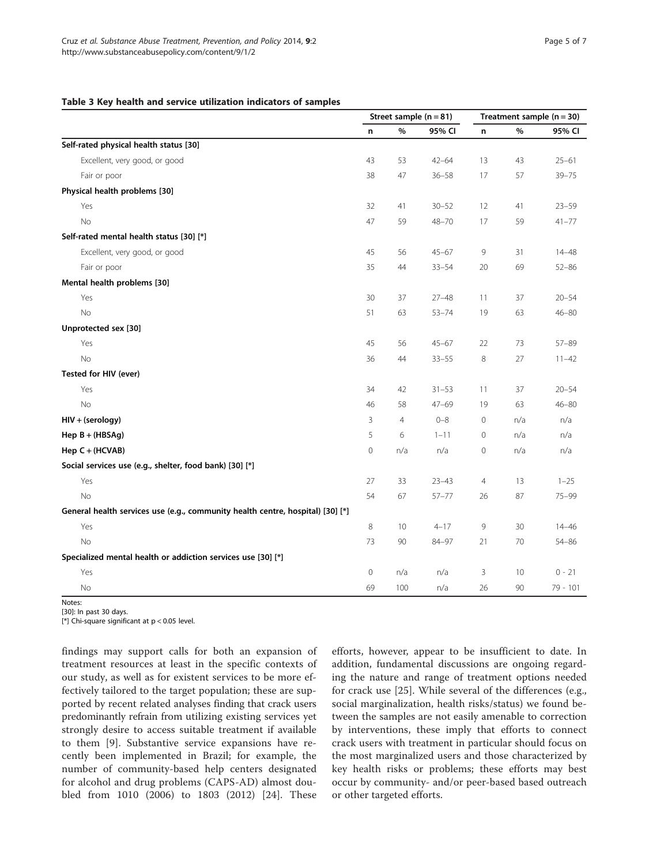#### <span id="page-4-0"></span>Table 3 Key health and service utilization indicators of samples

|                                                                                | Street sample $(n = 81)$ |                 |           | Treatment sample $(n = 30)$ |     |           |
|--------------------------------------------------------------------------------|--------------------------|-----------------|-----------|-----------------------------|-----|-----------|
|                                                                                | n                        | $\%$            | 95% CI    | n                           | %   | 95% CI    |
| Self-rated physical health status [30]                                         |                          |                 |           |                             |     |           |
| Excellent, very good, or good                                                  | 43                       | 53              | $42 - 64$ | 13                          | 43  | $25 - 61$ |
| Fair or poor                                                                   | 38                       | 47              | $36 - 58$ | 17                          | 57  | $39 - 75$ |
| Physical health problems [30]                                                  |                          |                 |           |                             |     |           |
| Yes                                                                            | 32                       | 41              | $30 - 52$ | 12                          | 41  | $23 - 59$ |
| <b>No</b>                                                                      | 47                       | 59              | $48 - 70$ | 17                          | 59  | $41 - 77$ |
| Self-rated mental health status [30] [*]                                       |                          |                 |           |                             |     |           |
| Excellent, very good, or good                                                  | 45                       | 56              | $45 - 67$ | 9                           | 31  | $14 - 48$ |
| Fair or poor                                                                   | 35                       | 44              | $33 - 54$ | $20\,$                      | 69  | $52 - 86$ |
| Mental health problems [30]                                                    |                          |                 |           |                             |     |           |
| Yes                                                                            | 30                       | 37              | $27 - 48$ | 11                          | 37  | $20 - 54$ |
| No                                                                             | 51                       | 63              | $53 - 74$ | 19                          | 63  | $46 - 80$ |
| Unprotected sex [30]                                                           |                          |                 |           |                             |     |           |
| Yes                                                                            | 45                       | 56              | $45 - 67$ | 22                          | 73  | 57-89     |
| <b>No</b>                                                                      | 36                       | 44              | $33 - 55$ | 8                           | 27  | $11 - 42$ |
| Tested for HIV (ever)                                                          |                          |                 |           |                             |     |           |
| Yes                                                                            | 34                       | 42              | $31 - 53$ | 11                          | 37  | $20 - 54$ |
| No                                                                             | 46                       | 58              | $47 - 69$ | 19                          | 63  | $46 - 80$ |
| HIV + (serology)                                                               | 3                        | $\overline{4}$  | $0 - 8$   | $\mathsf{O}\xspace$         | n/a | n/a       |
| Hep $B + (HBSAg)$                                                              | 5                        | 6               | $1 - 11$  | $\mathsf{O}\xspace$         | n/a | n/a       |
| Hep C + (HCVAB)                                                                | $\mathsf{O}\xspace$      | n/a             | n/a       | $\mathsf{O}\xspace$         | n/a | n/a       |
| Social services use (e.g., shelter, food bank) [30] [*]                        |                          |                 |           |                             |     |           |
| Yes                                                                            | 27                       | 33              | $23 - 43$ | $\overline{4}$              | 13  | $1 - 25$  |
| No                                                                             | 54                       | 67              | $57 - 77$ | 26                          | 87  | $75 - 99$ |
| General health services use (e.g., community health centre, hospital) [30] [*] |                          |                 |           |                             |     |           |
| Yes                                                                            | 8                        | 10 <sup>°</sup> | $4 - 17$  | 9                           | 30  | $14 - 46$ |
| <b>No</b>                                                                      | 73                       | 90              | 84-97     | 21                          | 70  | $54 - 86$ |
| Specialized mental health or addiction services use [30] [*]                   |                          |                 |           |                             |     |           |
| Yes                                                                            | 0                        | n/a             | n/a       | 3                           | 10  | $0 - 21$  |
| No                                                                             | 69                       | 100             | n/a       | 26                          | 90  | 79 - 101  |

Notes:

[30]: In past 30 days.

[\*] Chi-square significant at p < 0.05 level.

findings may support calls for both an expansion of treatment resources at least in the specific contexts of our study, as well as for existent services to be more effectively tailored to the target population; these are supported by recent related analyses finding that crack users predominantly refrain from utilizing existing services yet strongly desire to access suitable treatment if available to them [\[9\]](#page-5-0). Substantive service expansions have recently been implemented in Brazil; for example, the number of community-based help centers designated for alcohol and drug problems (CAPS-AD) almost doubled from 1010 (2006) to 1803 (2012) [[24](#page-6-0)]. These

efforts, however, appear to be insufficient to date. In addition, fundamental discussions are ongoing regarding the nature and range of treatment options needed for crack use [\[25](#page-6-0)]. While several of the differences (e.g., social marginalization, health risks/status) we found between the samples are not easily amenable to correction by interventions, these imply that efforts to connect crack users with treatment in particular should focus on the most marginalized users and those characterized by key health risks or problems; these efforts may best occur by community- and/or peer-based based outreach or other targeted efforts.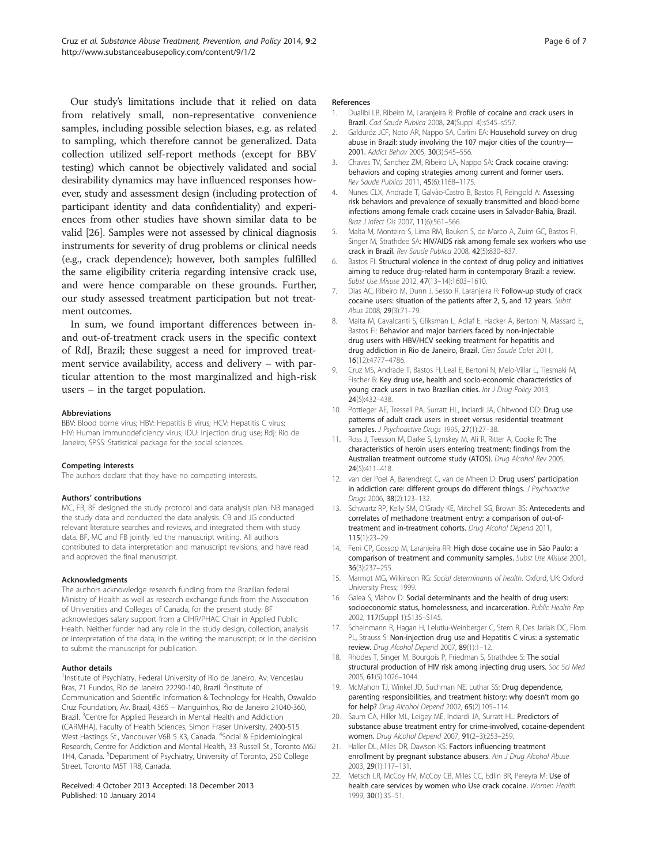<span id="page-5-0"></span>Our study's limitations include that it relied on data from relatively small, non-representative convenience samples, including possible selection biases, e.g. as related to sampling, which therefore cannot be generalized. Data collection utilized self-report methods (except for BBV testing) which cannot be objectively validated and social desirability dynamics may have influenced responses however, study and assessment design (including protection of participant identity and data confidentiality) and experiences from other studies have shown similar data to be valid [[26](#page-6-0)]. Samples were not assessed by clinical diagnosis instruments for severity of drug problems or clinical needs (e.g., crack dependence); however, both samples fulfilled the same eligibility criteria regarding intensive crack use, and were hence comparable on these grounds. Further, our study assessed treatment participation but not treatment outcomes.

In sum, we found important differences between inand out-of-treatment crack users in the specific context of RdJ, Brazil; these suggest a need for improved treatment service availability, access and delivery – with particular attention to the most marginalized and high-risk users – in the target population.

#### Abbreviations

BBV: Blood borne virus; HBV: Hepatitis B virus; HCV: Hepatitis C virus; HIV: Human immunodeficiency virus; IDU: Injection drug use; Rdj: Rio de Janeiro; SPSS: Statistical package for the social sciences.

#### Competing interests

The authors declare that they have no competing interests.

#### Authors' contributions

MC, FB, BF designed the study protocol and data analysis plan. NB managed the study data and conducted the data analysis. CB and JG conducted relevant literature searches and reviews, and integrated them with study data. BF, MC and FB jointly led the manuscript writing. All authors contributed to data interpretation and manuscript revisions, and have read and approved the final manuscript.

#### Acknowledgments

The authors acknowledge research funding from the Brazilian federal Ministry of Health as well as research exchange funds from the Association of Universities and Colleges of Canada, for the present study. BF acknowledges salary support from a CIHR/PHAC Chair in Applied Public Health. Neither funder had any role in the study design, collection, analysis or interpretation of the data; in the writing the manuscript; or in the decision to submit the manuscript for publication.

#### Author details

<sup>1</sup>Institute of Psychiatry, Federal University of Rio de Janeiro, Av. Venceslau Bras, 71 Fundos, Rio de Janeiro 22290-140, Brazil. <sup>2</sup>Institute of Communication and Scientific Information & Technology for Health, Oswaldo Cruz Foundation, Av. Brazil, 4365 – Manguinhos, Rio de Janeiro 21040-360, Brazil. <sup>3</sup> Centre for Applied Research in Mental Health and Addiction (CARMHA), Faculty of Health Sciences, Simon Fraser University, 2400-515 West Hastings St., Vancouver V6B 5 K3, Canada. <sup>4</sup>Social & Epidemiological Research, Centre for Addiction and Mental Health, 33 Russell St., Toronto M6J 1H4, Canada. <sup>5</sup>Department of Psychiatry, University of Toronto, 250 College Street, Toronto M5T 1R8, Canada.

#### Received: 4 October 2013 Accepted: 18 December 2013 Published: 10 January 2014

#### References

- 1. Dualibi LB, Ribeiro M, Laranieira R: Profile of cocaine and crack users in Brazil. Cad Saude Publica 2008, 24(Suppl 4):s545–s557.
- Galduróz JCF, Noto AR, Nappo SA, Carlini EA: Household survey on drug abuse in Brazil: study involving the 107 major cities of the country— 2001. Addict Behav 2005, 30(3):545–556.
- 3. Chaves TV, Sanchez ZM, Ribeiro LA, Nappo SA: Crack cocaine craving: behaviors and coping strategies among current and former users. Rev Saude Publica 2011, 45(6):1168–1175.
- 4. Nunes CLX, Andrade T, Galvão-Castro B, Bastos FI, Reingold A: Assessing risk behaviors and prevalence of sexually transmitted and blood-borne infections among female crack cocaine users in Salvador-Bahia, Brazil. Braz J Infect Dis 2007, 11(6):561–566.
- 5. Malta M, Monteiro S, Lima RM, Bauken S, de Marco A, Zuim GC, Bastos FI, Singer M, Strathdee SA: HIV/AIDS risk among female sex workers who use crack in Brazil. Rev Saude Publica 2008, 42(5):830–837.
- 6. Bastos FI: Structural violence in the context of drug policy and initiatives aiming to reduce drug-related harm in contemporary Brazil: a review. Subst Use Misuse 2012, 47(13–14):1603–1610.
- 7. Dias AC, Ribeiro M, Dunn J, Sesso R, Laranjeira R: Follow-up study of crack cocaine users: situation of the patients after 2, 5, and 12 years. Subst Abus 2008, 29(3):71-79.
- 8. Malta M, Cavalcanti S, Gliksman L, Adlaf E, Hacker A, Bertoni N, Massard E, Bastos FI: Behavior and major barriers faced by non-injectable drug users with HBV/HCV seeking treatment for hepatitis and drug addiction in Rio de Janeiro, Brazil. Cien Saude Colet 2011, 16(12):4777–4786.
- 9. Cruz MS, Andrade T, Bastos FI, Leal E, Bertoni N, Melo-Villar L, Tiesmaki M, Fischer B: Key drug use, health and socio-economic characteristics of young crack users in two Brazilian cities. Int J Drug Policy 2013, 24(5):432–438.
- 10. Pottieger AE, Tressell PA, Surratt HL, Inciardi JA, Chitwood DD: Drug use patterns of adult crack users in street versus residential treatment samples. J Psychoactive Drugs 1995, 27(1):27-38.
- 11. Ross J, Teesson M, Darke S, Lynskey M, Ali R, Ritter A, Cooke R: The characteristics of heroin users entering treatment: findings from the Australian treatment outcome study (ATOS). Drug Alcohol Rev 2005, 24(5):411–418.
- 12. van der Poel A, Barendregt C, van de Mheen D: Drug users' participation in addiction care: different groups do different things. J Psychoactive Drugs 2006, 38(2):123–132.
- 13. Schwartz RP, Kelly SM, O'Grady KE, Mitchell SG, Brown BS: Antecedents and correlates of methadone treatment entry: a comparison of out-oftreatment and in-treatment cohorts. Drug Alcohol Depend 2011, 115(1):23–29.
- 14. Ferri CP, Gossop M, Laranjeira RR: High dose cocaine use in São Paulo: a comparison of treatment and community samples. Subst Use Misuse 2001, 36(3):237–255.
- 15. Marmot MG, Wilkinson RG: Social determinants of health. Oxford, UK: Oxford University Press; 1999.
- 16. Galea S, Vlahov D: Social determinants and the health of drug users: socioeconomic status, homelessness, and incarceration. Public Health Rep 2002, 117(Suppl 1):S135–S145.
- 17. Scheinmann R, Hagan H, Lelutiu-Weinberger C, Stern R, Des Jarlais DC, Flom PL, Strauss S: Non-injection drug use and Hepatitis C virus: a systematic review. Drug Alcohol Depend 2007, 89(1):1–12.
- 18. Rhodes T, Singer M, Bourgois P, Friedman S, Strathdee S: The social structural production of HIV risk among injecting drug users. Soc Sci Med 2005, 61(5):1026–1044.
- 19. McMahon TJ, Winkel JD, Suchman NE, Luthar SS: Drug dependence, parenting responsibilities, and treatment history: why doesn't mom go for help? Drug Alcohol Depend 2002, 65(2):105–114.
- 20. Saum CA, Hiller ML, Leigey ME, Inciardi JA, Surratt HL: Predictors of substance abuse treatment entry for crime-involved, cocaine-dependent women. Drug Alcohol Depend 2007, 91(2–3):253–259.
- 21. Haller DL, Miles DR, Dawson KS: Factors influencing treatment enrollment by pregnant substance abusers. Am J Drug Alcohol Abuse 2003, 29(1):117–131.
- 22. Metsch LR, McCoy HV, McCoy CB, Miles CC, Edlin BR, Pereyra M: Use of health care services by women who Use crack cocaine. Women Health 1999, 30(1):35–51.